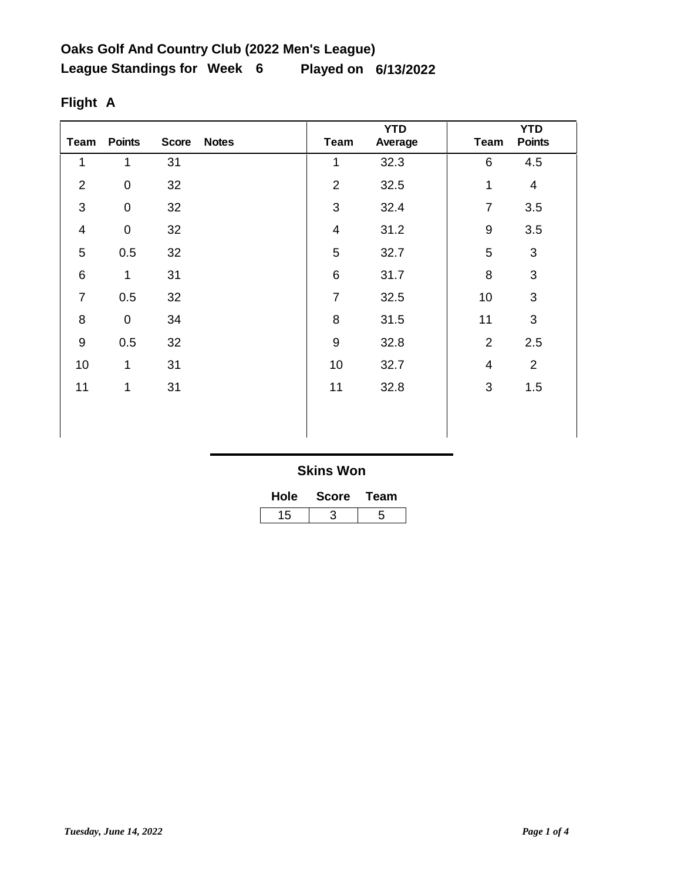| Team           | <b>Points</b>       | <b>Score</b> | <b>Notes</b> | <b>Team</b>    | <b>YTD</b><br>Average | <b>Team</b>      | <b>YTD</b><br><b>Points</b> |
|----------------|---------------------|--------------|--------------|----------------|-----------------------|------------------|-----------------------------|
| 1              | 1                   | 31           |              | 1              | 32.3                  | $\,6$            | 4.5                         |
| $\overline{2}$ | $\pmb{0}$           | 32           |              | $\mathbf 2$    | 32.5                  | 1                | $\overline{\mathbf{4}}$     |
| $\mathfrak{S}$ | $\pmb{0}$           | 32           |              | 3              | 32.4                  | $\overline{7}$   | 3.5                         |
| $\overline{4}$ | $\mathsf{O}\xspace$ | 32           |              | $\overline{4}$ | 31.2                  | $\boldsymbol{9}$ | 3.5                         |
| 5              | 0.5                 | 32           |              | 5              | 32.7                  | 5                | $\mathbf{3}$                |
| $\,6\,$        | 1                   | 31           |              | $\,6$          | 31.7                  | 8                | $\sqrt{3}$                  |
| $\overline{7}$ | 0.5                 | 32           |              | $\overline{7}$ | 32.5                  | 10               | $\sqrt{3}$                  |
| 8              | $\pmb{0}$           | 34           |              | 8              | 31.5                  | 11               | $\sqrt{3}$                  |
| $9\,$          | 0.5                 | 32           |              | $\overline{9}$ | 32.8                  | $\overline{2}$   | 2.5                         |
| 10             | 1                   | 31           |              | 10             | 32.7                  | $\overline{4}$   | $\overline{2}$              |
| 11             | 1                   | 31           |              | 11             | 32.8                  | $\sqrt{3}$       | 1.5                         |
|                |                     |              |              |                |                       |                  |                             |
|                |                     |              |              |                |                       |                  |                             |

# **Flight A**

| <b>Hole</b> | <b>Score</b> | Team |  |
|-------------|--------------|------|--|
| 15          |              |      |  |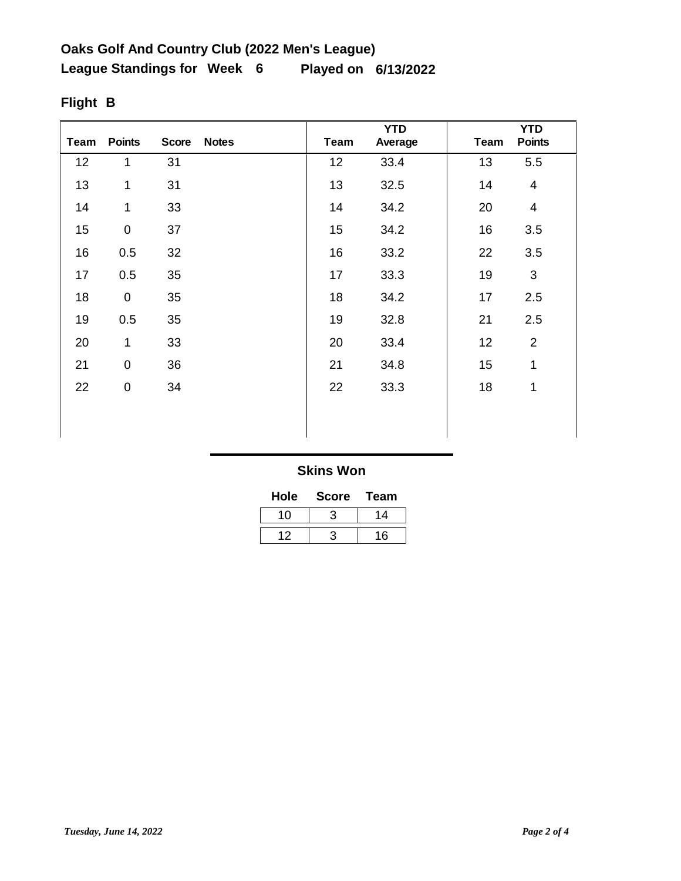| <b>Team</b> | <b>Points</b> | <b>Score</b> | <b>Notes</b> | Team | <b>YTD</b><br>Average | Team | <b>YTD</b><br><b>Points</b> |
|-------------|---------------|--------------|--------------|------|-----------------------|------|-----------------------------|
| 12          | $\mathbf{1}$  | 31           |              | 12   | 33.4                  | 13   | 5.5                         |
| 13          | 1             | 31           |              | 13   | 32.5                  | 14   | $\overline{\mathbf{4}}$     |
| 14          | $\mathbf{1}$  | 33           |              | 14   | 34.2                  | 20   | $\overline{\mathbf{4}}$     |
| 15          | $\mathsf 0$   | 37           |              | 15   | 34.2                  | 16   | 3.5                         |
| 16          | 0.5           | 32           |              | 16   | 33.2                  | 22   | 3.5                         |
| 17          | 0.5           | 35           |              | 17   | 33.3                  | 19   | 3                           |
| 18          | $\pmb{0}$     | 35           |              | 18   | 34.2                  | 17   | 2.5                         |
| 19          | 0.5           | 35           |              | 19   | 32.8                  | 21   | 2.5                         |
| 20          | 1             | 33           |              | 20   | 33.4                  | 12   | $\overline{2}$              |
| 21          | $\mathsf 0$   | 36           |              | 21   | 34.8                  | 15   | 1                           |
| 22          | 0             | 34           |              | 22   | 33.3                  | 18   | 1                           |
|             |               |              |              |      |                       |      |                             |
|             |               |              |              |      |                       |      |                             |

# **Flight B**

### **Skins Won**

| Hole | <b>Score</b> | Team |
|------|--------------|------|
| 10   |              | 14   |
|      |              | 16   |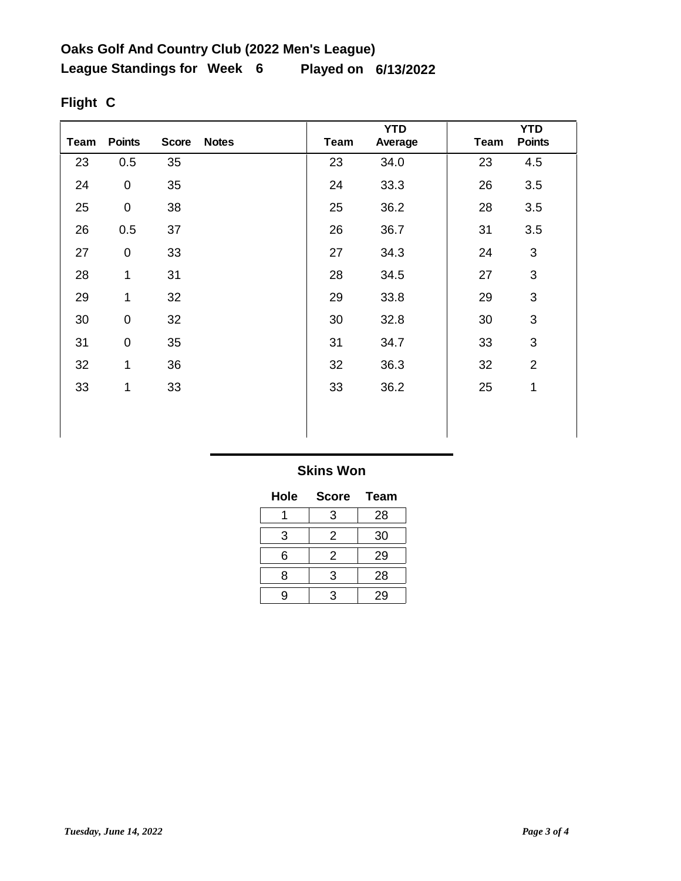| <b>Team</b> | <b>Points</b>    | <b>Score</b> | <b>Notes</b> | Team | <b>YTD</b><br>Average | <b>Team</b> | <b>YTD</b><br><b>Points</b> |
|-------------|------------------|--------------|--------------|------|-----------------------|-------------|-----------------------------|
| 23          | 0.5              | 35           |              | 23   | 34.0                  | 23          | 4.5                         |
| 24          | $\pmb{0}$        | 35           |              | 24   | 33.3                  | 26          | 3.5                         |
| 25          | $\boldsymbol{0}$ | 38           |              | 25   | 36.2                  | 28          | 3.5                         |
| 26          | 0.5              | 37           |              | 26   | 36.7                  | 31          | 3.5                         |
| 27          | $\pmb{0}$        | 33           |              | 27   | 34.3                  | 24          | 3                           |
| 28          | 1                | 31           |              | 28   | 34.5                  | 27          | 3                           |
| 29          | $\mathbf 1$      | 32           |              | 29   | 33.8                  | 29          | $\mathsf 3$                 |
| 30          | $\pmb{0}$        | 32           |              | 30   | 32.8                  | 30          | $\mathfrak{S}$              |
| 31          | $\boldsymbol{0}$ | 35           |              | 31   | 34.7                  | 33          | 3                           |
| 32          | 1                | 36           |              | 32   | 36.3                  | 32          | $\overline{2}$              |
| 33          | 1                | 33           |              | 33   | 36.2                  | 25          | 1                           |
|             |                  |              |              |      |                       |             |                             |
|             |                  |              |              |      |                       |             |                             |

# **Flight C**

### **Skins Won**

| Hole | <b>Score</b> | Team |
|------|--------------|------|
|      | 3            | 28   |
| 3    | 2            | 30   |
| 6    | 2            | 29   |
| 8    | 3            | 28   |
| g    | 3            | 29   |